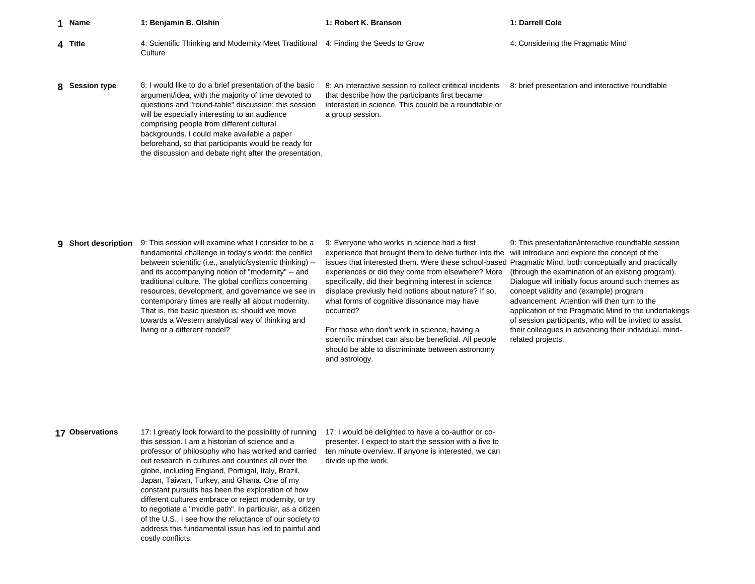| 1 Name         | 1: Benjamin B. Olshin                                                                                                                                                                                                                                                                                                                                                                                                                 | 1: Robert K. Branson                                                                                                                                                                      | 1: Darrell Cole                                  |
|----------------|---------------------------------------------------------------------------------------------------------------------------------------------------------------------------------------------------------------------------------------------------------------------------------------------------------------------------------------------------------------------------------------------------------------------------------------|-------------------------------------------------------------------------------------------------------------------------------------------------------------------------------------------|--------------------------------------------------|
| 4 Title        | 4: Scientific Thinking and Modernity Meet Traditional<br>Culture                                                                                                                                                                                                                                                                                                                                                                      | 4: Finding the Seeds to Grow                                                                                                                                                              | 4: Considering the Pragmatic Mind                |
| 8 Session type | 8: I would like to do a brief presentation of the basic<br>argument/idea, with the majority of time devoted to<br>questions and "round-table" discussion; this session<br>will be especially interesting to an audience<br>comprising people from different cultural<br>backgrounds. I could make available a paper<br>beforehand, so that participants would be ready for<br>the discussion and debate right after the presentation. | 8. An interactive session to collect crititical incidents<br>that describe how the participants first became<br>interested in science. This couold be a roundtable or<br>a group session. | 8: brief presentation and interactive roundtable |

**9** Short description **Short description** 9: This session will examine what I consider to be a fundamental challenge in today's world: the conflict between scientific (i.e., analytic/systemic thinking) - and its accompanying notion of "modernity" -- and traditional culture. The global conflicts concerning resources, development, and governance we see in contemporary times are really all about modernity. That is, the basic question is: should we move towards a Western analytical way of thinking and living or a different model?

9: Everyone who works in science had a first experience that brought them to delve further into the issues that interested them. Were these school-based Pragmatic Mind, both conceptually and practically experiences or did they come from elsewhere? More specifically, did their beginning interest in science displace previusly held notions about nature? If so, what forms of cognitive dissonance may have occurred?

For those who don't work in science, having a scientific mindset can also be beneficial. All people should be able to discriminate between astronomy and astrology.

9: This presentation/interactive roundtable session will introduce and explore the concept of the (through the examination of an existing program). Dialogue will initially focus around such themes as concept validity and (example) program advancement. Attention will then turn to the application of the Pragmatic Mind to the undertakings of session participants, who will be invited to assist their colleagues in advancing their individual, mindrelated projects.

**17**17: I greatly look forward to the possibility of running this session. I am a historian of science and a professor of philosophy who has worked and carried out research in cultures and countries all over the globe, including England, Portugal, Italy, Brazil, Japan, Taiwan, Turkey, and Ghana. One of my constant pursuits has been the exploration of how different cultures embrace or reject modernity, or try to negotiate a "middle path". In particular, as a citizen of the U.S., I see how the reluctance of our society to address this fundamental issue has led to painful and costly conflicts.

17: I would be delighted to have a co-author or copresenter. I expect to start the session with a five to ten minute overview. If anyone is interested, we can divide up the work.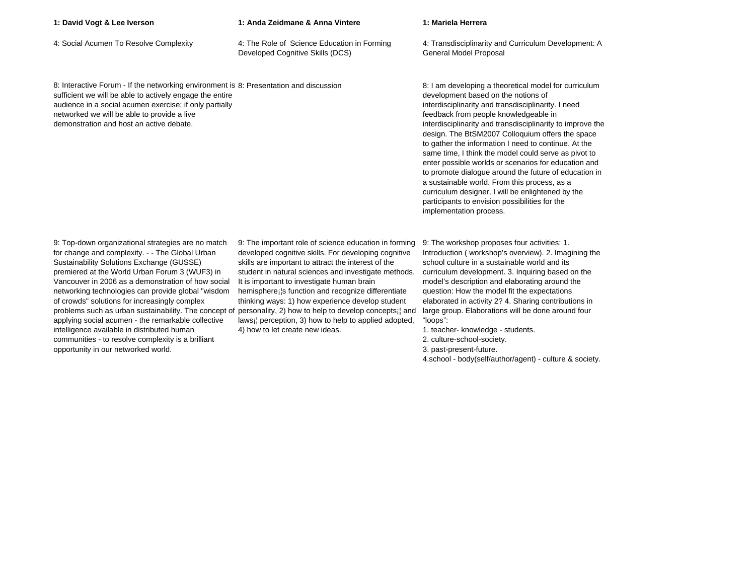**1: David Vogt & Lee Iverson 1: Anda Zeidmane & Anna Vintere 1: Mariela Herrera**

4: Social Acumen To Resolve Complexity 4: The Role of Science Education in Forming Developed Cognitive Skills (DCS)

8: Interactive Forum - If the networking environment is 8: Presentation and discussion sufficient we will be able to actively engage the entire audience in a social acumen exercise; if only partially networked we will be able to provide a live demonstration and host an active debate.

9: Top-down organizational strategies are no match for change and complexity. - - The Global Urban Sustainability Solutions Exchange (GUSSE) premiered at the World Urban Forum 3 (WUF3) in Vancouver in 2006 as a demonstration of how social networking technologies can provide global "wisdom of crowds" solutions for increasingly complex problems such as urban sustainability. The concept of personality, 2) how to help to develop concepts¡¦ and applying social acumen - the remarkable collective intelligence available in distributed human communities - to resolve complexity is a brilliant opportunity in our networked world.

9: The important role of science education in forming developed cognitive skills. For developing cognitive skills are important to attract the interest of the student in natural sciences and investigate methods. It is important to investigate human brain hemisphere¡¦s function and recognize differentiate thinking ways: 1) how experience develop student laws¡¦ perception, 3) how to help to applied adopted, 4) how to let create new ideas.

4: Transdisciplinarity and Curriculum Development: A General Model Proposal

8: I am developing a theoretical model for curriculum development based on the notions of interdisciplinarity and transdisciplinarity. I need feedback from people knowledgeable in interdisciplinarity and transdisciplinarity to improve the design. The BtSM2007 Colloquium offers the space to gather the information I need to continue. At the same time, I think the model could serve as pivot to enter possible worlds or scenarios for education and to promote dialogue around the future of education in a sustainable world. From this process, as a curriculum designer, I will be enlightened by the participants to envision possibilities for the implementation process.

9: The workshop proposes four activities: 1. Introduction ( workshop's overview). 2. Imagining the school culture in a sustainable world and its curriculum development. 3. Inquiring based on the model's description and elaborating around the question: How the model fit the expectations elaborated in activity 2? 4. Sharing contributions in large group. Elaborations will be done around four "loops":

- 1. teacher- knowledge students.
- 2. culture-school-society.
- 3. past-present-future.
- 4.school body(self/author/agent) culture & society.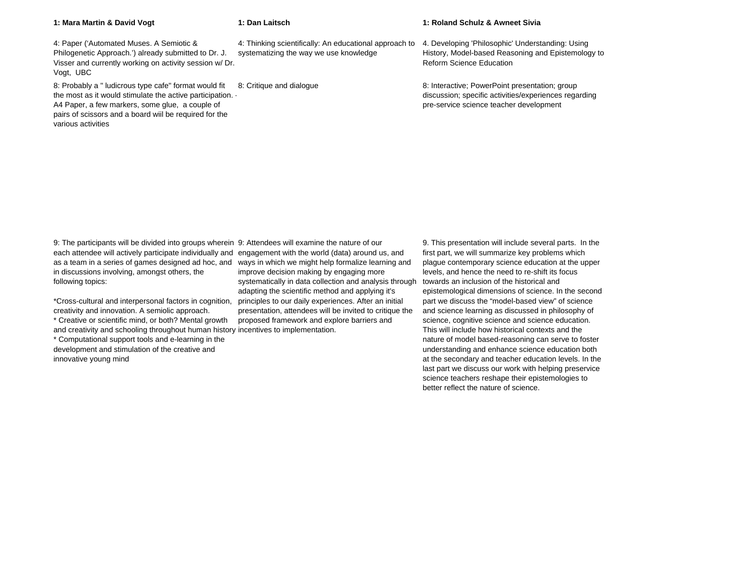|  |  | 1: Mara Martin & David Vogt |  |  |  |
|--|--|-----------------------------|--|--|--|
|--|--|-----------------------------|--|--|--|

**1: Mara Martin & David Vogt 1: Dan Laitsch 1: Roland Schulz & Awneet Sivia**

4: Paper ('Automated Muses. A Semiotic & Philogenetic Approach.') already submitted to Dr. J. Visser and currently working on activity session w/ Dr. Vogt, UBC 4: Thinking scientifically: An educational approach to systematizing the way we use knowledge 4. Developing 'Philosophic' Understanding: Using History, Model-based Reasoning and Epistemology to Reform Science Education

8: Probably a " ludicrous type cafe" format would fit the most as it would stimulate the active participation. - A4 Paper, a few markers, some glue, a couple of pairs of scissors and a board wiil be required for the various activities

8: Critique and dialogue 8: Interactive; PowerPoint presentation; group discussion; specific activities/experiences regarding pre-service science teacher development

9: The participants will be divided into groups wherein 9: Attendees will examine the nature of our each attendee will actively participate individually and engagement with the world (data) around us, and as a team in a series of games designed ad hoc, and in discussions involving, amongst others, the following topics:

\*Cross-cultural and interpersonal factors in cognition, creativity and innovation. A semiolic approach.

\* Creative or scientific mind, or both? Mental growth and creativity and schooling throughout human history incentives to implementation. \* Computational support tools and e-learning in the development and stimulation of the creative and innovative young mind

ways in which we might help formalize learning and improve decision making by engaging more systematically in data collection and analysis through adapting the scientific method and applying it's principles to our daily experiences. After an initial presentation, attendees will be invited to critique the proposed framework and explore barriers and

9. This presentation will include several parts. In the first part, we will summarize key problems which plague contemporary science education at the upper levels, and hence the need to re-shift its focus towards an inclusion of the historical and epistemological dimensions of science. In the second part we discuss the "model-based view" of science and science learning as discussed in philosophy of science, cognitive science and science education. This will include how historical contexts and the nature of model based-reasoning can serve to foster understanding and enhance science education both at the secondary and teacher education levels. In the last part we discuss our work with helping preservice science teachers reshape their epistemologies to better reflect the nature of science.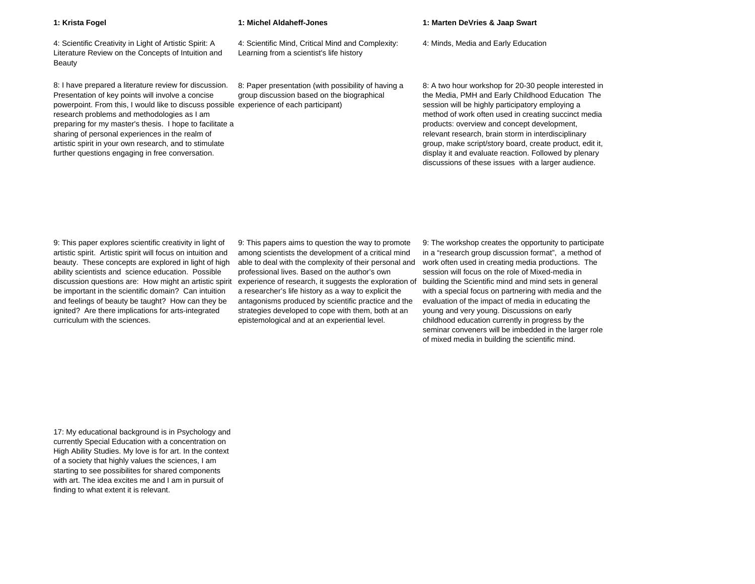4: Scientific Creativity in Light of Artistic Spirit: A Literature Review on the Concepts of Intuition and Beauty

8: I have prepared a literature review for discussion. Presentation of key points will involve a concise powerpoint. From this, I would like to discuss possible experience of each participant) research problems and methodologies as I am preparing for my master's thesis. I hope to facilitate a sharing of personal experiences in the realm of artistic spirit in your own research, and to stimulate further questions engaging in free conversation.

4: Scientific Mind, Critical Mind and Complexity:

Learning from a scientist's life history

8: Paper presentation (with possibility of having a group discussion based on the biographical

## **1: Krista Fogel 1: Michel Aldaheff-Jones 1: Marten DeVries & Jaap Swart**

4: Minds, Media and Early Education

8: A two hour workshop for 20-30 people interested in the Media, PMH and Early Childhood Education The session will be highly participatory employing a method of work often used in creating succinct media products: overview and concept development, relevant research, brain storm in interdisciplinary group, make script/story board, create product, edit it, display it and evaluate reaction. Followed by plenary discussions of these issues with a larger audience.

9: This paper explores scientific creativity in light of artistic spirit. Artistic spirit will focus on intuition and beauty. These concepts are explored in light of high ability scientists and science education. Possible discussion questions are: How might an artistic spirit be important in the scientific domain? Can intuition and feelings of beauty be taught? How can they be ignited? Are there implications for arts-integrated curriculum with the sciences.

9: This papers aims to question the way to promote among scientists the development of a critical mind able to deal with the complexity of their personal and professional lives. Based on the author's own experience of research, it suggests the exploration of a researcher's life history as a way to explicit the antagonisms produced by scientific practice and the strategies developed to cope with them, both at an epistemological and at an experiential level.

9: The workshop creates the opportunity to participate in a "research group discussion format", a method of work often used in creating media productions. The session will focus on the role of Mixed-media in building the Scientific mind and mind sets in general with a special focus on partnering with media and the evaluation of the impact of media in educating the young and very young. Discussions on early childhood education currently in progress by the seminar conveners will be imbedded in the larger role of mixed media in building the scientific mind.

17: My educational background is in Psychology and currently Special Education with a concentration on High Ability Studies. My love is for art. In the context of a society that highly values the sciences, I am starting to see possibilites for shared components with art. The idea excites me and I am in pursuit of finding to what extent it is relevant.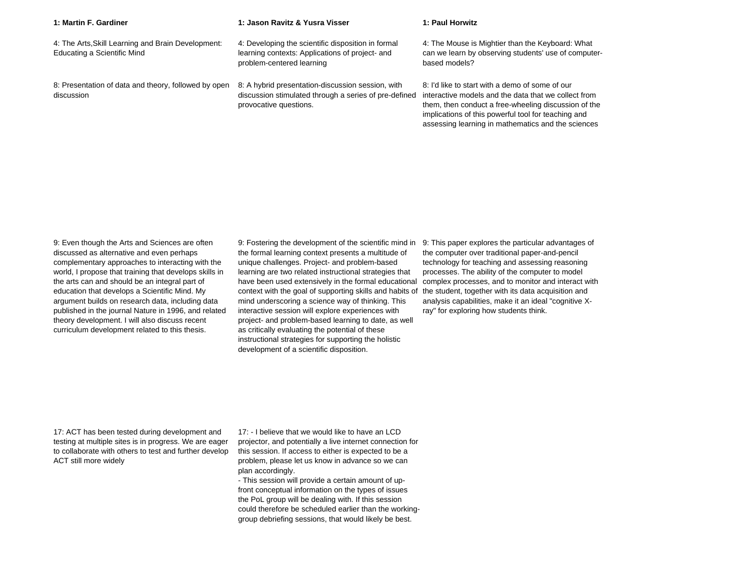| 1: Martin F. Gardiner                                                             | 1: Jason Ravitz & Yusra Visser                                                                                                       | 1: Paul Horwitz                                                                                                                                                                                                                                                              |
|-----------------------------------------------------------------------------------|--------------------------------------------------------------------------------------------------------------------------------------|------------------------------------------------------------------------------------------------------------------------------------------------------------------------------------------------------------------------------------------------------------------------------|
| 4: The Arts, Skill Learning and Brain Development:<br>Educating a Scientific Mind | 4: Developing the scientific disposition in formal<br>learning contexts: Applications of project- and<br>problem-centered learning   | 4: The Mouse is Mightier than the Keyboard: What<br>can we learn by observing students' use of computer-<br>based models?                                                                                                                                                    |
| 8: Presentation of data and theory, followed by open<br>discussion                | 8: A hybrid presentation-discussion session, with<br>discussion stimulated through a series of pre-defined<br>provocative questions. | 8: I'd like to start with a demo of some of our<br>interactive models and the data that we collect from<br>them, then conduct a free-wheeling discussion of the<br>implications of this powerful tool for teaching and<br>assessing learning in mathematics and the sciences |

9: Even though the Arts and Sciences are often discussed as alternative and even perhaps complementary approaches to interacting with the world, I propose that training that develops skills in the arts can and should be an integral part of education that develops a Scientific Mind. My argument builds on research data, including data published in the journal Nature in 1996, and related theory development. I will also discuss recent curriculum development related to this thesis.

9: Fostering the development of the scientific mind in the formal learning context presents a multitude of unique challenges. Project- and problem-based learning are two related instructional strategies that have been used extensively in the formal educational context with the goal of supporting skills and habits of mind underscoring a science way of thinking. This interactive session will explore experiences with project- and problem-based learning to date, as well as critically evaluating the potential of these instructional strategies for supporting the holistic development of a scientific disposition.

9: This paper explores the particular advantages of the computer over traditional paper-and-pencil technology for teaching and assessing reasoning processes. The ability of the computer to model complex processes, and to monitor and interact with the student, together with its data acquisition and analysis capabilities, make it an ideal "cognitive Xray" for exploring how students think.

17: ACT has been tested during development and testing at multiple sites is in progress. We are eager to collaborate with others to test and further develop ACT still more widely

17: - I believe that we would like to have an LCD projector, and potentially a live internet connection for this session. If access to either is expected to be a problem, please let us know in advance so we can plan accordingly.

- This session will provide a certain amount of upfront conceptual information on the types of issues the PoL group will be dealing with. If this session could therefore be scheduled earlier than the workinggroup debriefing sessions, that would likely be best.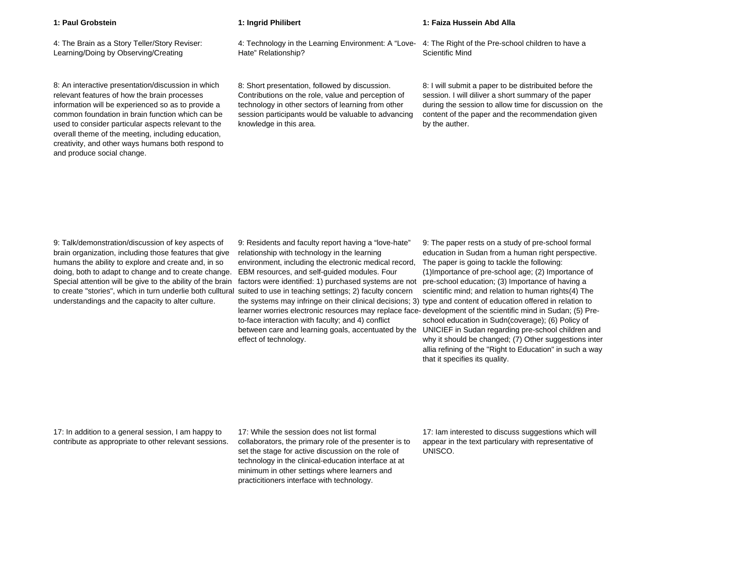4: The Brain as a Story Teller/Story Reviser: Learning/Doing by Observing/Creating

8: An interactive presentation/discussion in which relevant features of how the brain processes information will be experienced so as to provide a common foundation in brain function which can be used to consider particular aspects relevant to the overall theme of the meeting, including education, creativity, and other ways humans both respond to and produce social change.

## **1: Paul Grobstein 1: Ingrid Philibert 1: Faiza Hussein Abd Alla**

4: Technology in the Learning Environment: A "Love-Hate" Relationship? 4: The Right of the Pre-school children to have a Scientific Mind

8: Short presentation, followed by discussion. Contributions on the role, value and perception of technology in other sectors of learning from other session participants would be valuable to advancing knowledge in this area.

8: I will submit a paper to be distribuited before the session. I will diliver a short summary of the paper during the session to allow time for discussion on the content of the paper and the recommendation given by the auther.

9: Talk/demonstration/discussion of key aspects of brain organization, including those features that give humans the ability to explore and create and, in so doing, both to adapt to change and to create change. Special attention will be give to the ability of the brain to create "stories", which in turn underlie both culltural understandings and the capacity to alter culture.

9: Residents and faculty report having a "love-hate" relationship with technology in the learning environment, including the electronic medical record, EBM resources, and self-guided modules. Four factors were identified: 1) purchased systems are not suited to use in teaching settings; 2) faculty concern the systems may infringe on their clinical decisions; 3) type and content of education offered in relation to learner worries electronic resources may replace face-development of the scientific mind in Sudan; (5) Preto-face interaction with faculty; and 4) conflict between care and learning goals, accentuated by the UNICIEF in Sudan regarding pre-school children and effect of technology.

9: The paper rests on a study of pre-school formal education in Sudan from a human right perspective. The paper is going to tackle the following: (1)Importance of pre-school age; (2) Importance of pre-school education; (3) Importance of having a scientific mind; and relation to human rights(4) The school education in Sudn(coverage); (6) Policy of why it should be changed; (7) Other suggestions inter allia refining of the "Right to Education" in such a way that it specifies its quality.

17: In addition to a general session, I am happy to contribute as appropriate to other relevant sessions.

17: While the session does not list formal collaborators, the primary role of the presenter is to set the stage for active discussion on the role of technology in the clinical-education interface at at minimum in other settings where learners and practicitioners interface with technology.

17: Iam interested to discuss suggestions which will appear in the text particulary with representative of UNISCO.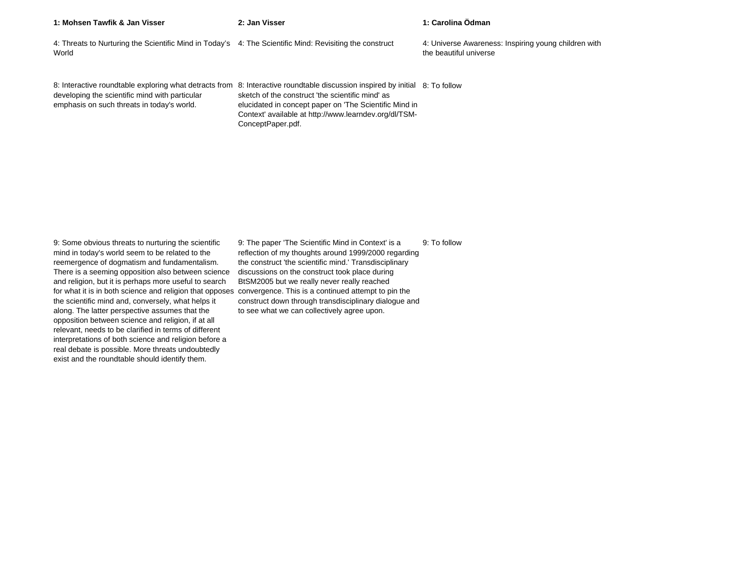| 1: Mohsen Tawfik & Jan Visser                                                                                    | 2: Jan Visser                                                                                                                                                                                                                                                                                                            | 1: Carolina Ödman                                                              |
|------------------------------------------------------------------------------------------------------------------|--------------------------------------------------------------------------------------------------------------------------------------------------------------------------------------------------------------------------------------------------------------------------------------------------------------------------|--------------------------------------------------------------------------------|
| 4: Threats to Nurturing the Scientific Mind in Today's 4: The Scientific Mind: Revisiting the construct<br>World |                                                                                                                                                                                                                                                                                                                          | 4: Universe Awareness: Inspiring young children with<br>the beautiful universe |
| developing the scientific mind with particular<br>emphasis on such threats in today's world.                     | 8: Interactive roundtable exploring what detracts from 8: Interactive roundtable discussion inspired by initial 8: To follow<br>sketch of the construct 'the scientific mind' as<br>elucidated in concept paper on 'The Scientific Mind in<br>Context' available at http://www.learndev.org/dl/TSM-<br>ConceptPaper.pdf. |                                                                                |

9: Some obvious threats to nurturing the scientific mind in today's world seem to be related to the reemergence of dogmatism and fundamentalism. There is a seeming opposition also between science and religion, but it is perhaps more useful to search for what it is in both science and religion that opposes convergence. This is a continued attempt to pin the the scientific mind and, conversely, what helps it along. The latter perspective assumes that the opposition between science and religion, if at all relevant, needs to be clarified in terms of different interpretations of both science and religion before a real debate is possible. More threats undoubtedly exist and the roundtable should identify them.

9: The paper 'The Scientific Mind in Context' is a reflection of my thoughts around 1999/2000 regarding the construct 'the scientific mind.' Transdisciplinary discussions on the construct took place during BtSM2005 but we really never really reached construct down through transdisciplinary dialogue and to see what we can collectively agree upon. 9: To follow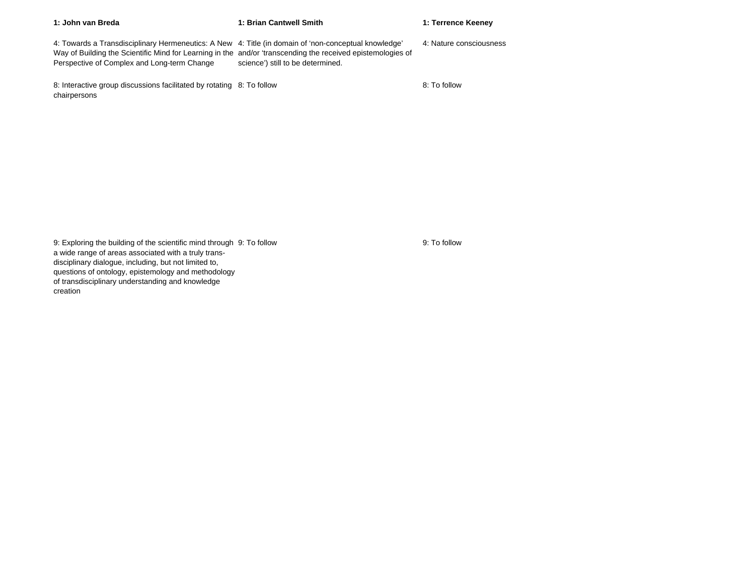| 1: John van Breda                                                                                                                                                                                                                                                  | 1: Brian Cantwell Smith           | 1: Terrence Keeney      |
|--------------------------------------------------------------------------------------------------------------------------------------------------------------------------------------------------------------------------------------------------------------------|-----------------------------------|-------------------------|
| 4: Towards a Transdisciplinary Hermeneutics: A New 4: Title (in domain of 'non-conceptual knowledge'<br>Way of Building the Scientific Mind for Learning in the and/or 'transcending the received epistemologies of<br>Perspective of Complex and Long-term Change | science') still to be determined. | 4: Nature consciousness |
| 8: Interactive group discussions facilitated by rotating 8: To follow<br>chairpersons                                                                                                                                                                              |                                   | 8: To follow            |

9: Exploring the building of the scientific mind through a wide range of areas associated with a truly transdisciplinary dialogue, including, but not limited to, questions of ontology, epistemology and methodology of transdisciplinary understanding and knowledge creation

9: To follow 9: To follow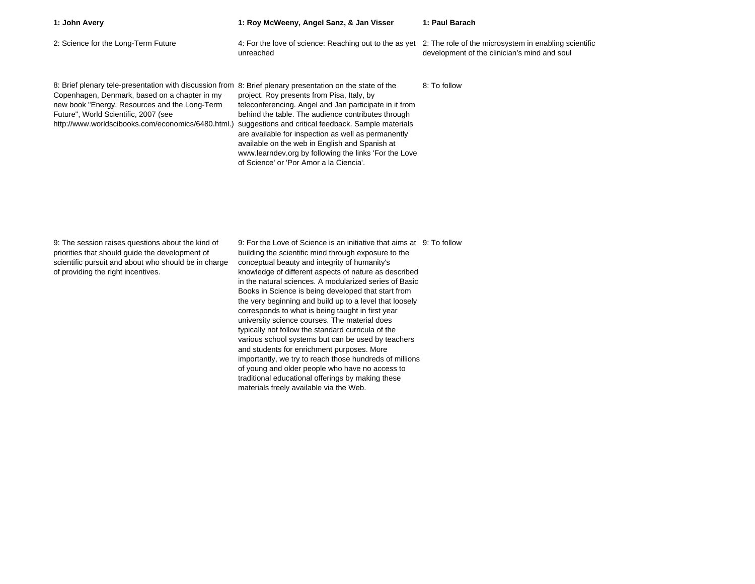| 1: John Avery                                                                                                                                                                                                                                                                                             | 1: Roy McWeeny, Angel Sanz, & Jan Visser                                                                                                                                                                                                                                                                                                                                                                                       | 1: Paul Barach                               |
|-----------------------------------------------------------------------------------------------------------------------------------------------------------------------------------------------------------------------------------------------------------------------------------------------------------|--------------------------------------------------------------------------------------------------------------------------------------------------------------------------------------------------------------------------------------------------------------------------------------------------------------------------------------------------------------------------------------------------------------------------------|----------------------------------------------|
| 2: Science for the Long-Term Future                                                                                                                                                                                                                                                                       | 4: For the love of science: Reaching out to the as yet 2: The role of the microsystem in enabling scientific<br>unreached                                                                                                                                                                                                                                                                                                      | development of the clinician's mind and soul |
| 8: Brief plenary tele-presentation with discussion from 8: Brief plenary presentation on the state of the<br>Copenhagen, Denmark, based on a chapter in my<br>new book "Energy, Resources and the Long-Term<br>Future", World Scientific, 2007 (see<br>http://www.worldscibooks.com/economics/6480.html.) | project. Roy presents from Pisa, Italy, by<br>teleconferencing. Angel and Jan participate in it from<br>behind the table. The audience contributes through<br>suggestions and critical feedback. Sample materials<br>are available for inspection as well as permanently<br>available on the web in English and Spanish at<br>www.learndev.org by following the links 'For the Love<br>of Science' or 'Por Amor a la Ciencia'. | 8: To follow                                 |

9: The session raises questions about the kind of priorities that should guide the development of scientific pursuit and about who should be in charge of providing the right incentives.

9: For the Love of Science is an initiative that aims at 9: To followbuilding the scientific mind through exposure to the conceptual beauty and integrity of humanity's knowledge of different aspects of nature as described in the natural sciences. A modularized series of Basic Books in Science is being developed that start from the very beginning and build up to a level that loosely corresponds to what is being taught in first year university science courses. The material does typically not follow the standard curricula of the various school systems but can be used by teachers and students for enrichment purposes. More importantly, we try to reach those hundreds of millions of young and older people who have no access to traditional educational offerings by making these materials freely available via the Web.